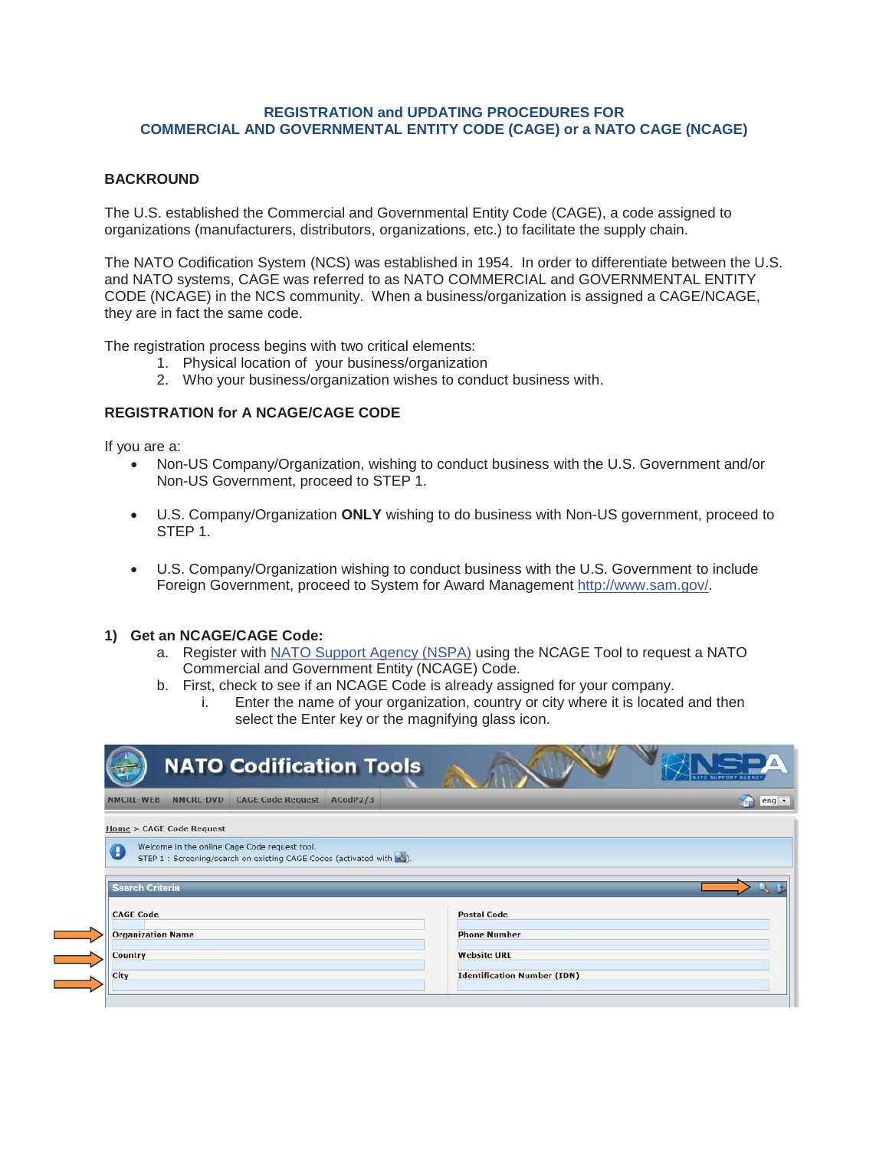## **REGISTRATION and UPDATING PROCEDURES FOR COMMERCIAL AND GOVERNMENTAL ENTITY CODE (CAGE) or a NATO CAGE (NCAGE)**

## **BACKROUND**

The U.S. established the Commercial and Governmental Entity Code (CAGE), a code assigned to organizations (manufacturers, distributors, organizations, etc.) to facilitate the supply chain.

The NATO Codification System (NCS) was established in 1954. In order to differentiate between the U.S. and NATO systems, CAGE was referred to as NATO COMMERCIAL and GOVERNMENTAL ENTITY CODE (NCAGE) in the NCS community. When a business/organization is assigned a CAGE/NCAGE, they are in fact the same code.

The registration process begins with two critical elements:

- 1. Physical location of your business/organization
- 2. Who your business/organization wishes to conduct business with.

#### **REGISTRATION for A NCAGE/CAGE CODE**

If you are a:

**The Company** 

- Non-US Company/Organization, wishing to conduct business with the U.S. Government and/or Non-US Government, proceed to STEP 1.
- x U.S. Company/Organization **ONLY** wishing to do business with Non-US government, proceed to STEP 1.
- U.S. Company/Organization wishing to conduct business with the U.S. Government to include Foreign Government, proceed to System for Award Management http://www.sam.gov/.

#### **1) Get an NCAGE/CAGE Code:**

- a. Register with NATO Support Agency (NSPA) using the NCAGE Tool to request a NATO Commercial and Government Entity (NCAGE) Code.
- b. First, check to see if an NCAGE Code is already assigned for your company.
	- i. Enter the name of your organization, country or city where it is located and then select the Enter key or the magnifying glass icon.

|                          |                          |                                                                      | <b>NATO Codification Tools</b> |                     |         |
|--------------------------|--------------------------|----------------------------------------------------------------------|--------------------------------|---------------------|---------|
| <b>NMCRL WEB</b>         | NMCRL-DVD                | <b>CAGE Code Request</b>                                             | ACodP2/3                       |                     | $eng -$ |
|                          | Home > CAGE Code Request |                                                                      |                                |                     |         |
|                          |                          |                                                                      |                                |                     |         |
| Œ                        |                          | Welcome In the online Cage Code request tool.                        |                                |                     |         |
|                          |                          | STEP 1 : Screening/search on existing CAGE Codes (activated with <). |                                |                     |         |
| <b>Search Criteria</b>   |                          |                                                                      |                                |                     |         |
| <b>CAGE Code</b>         |                          |                                                                      |                                | <b>Postal Code</b>  |         |
| <b>Organization Name</b> |                          |                                                                      |                                | <b>Phone Number</b> |         |
| Country                  |                          |                                                                      |                                | <b>Website URL</b>  |         |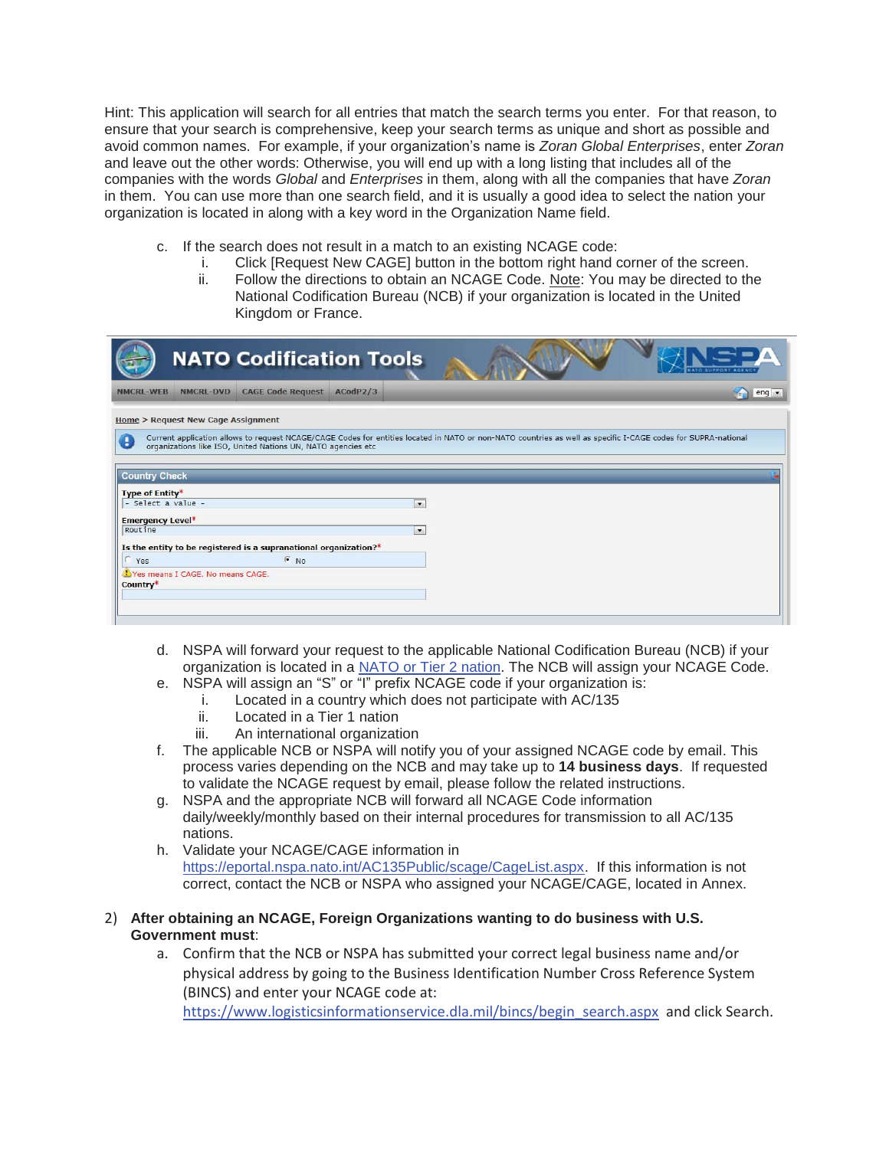Hint: This application will search for all entries that match the search terms you enter. For that reason, to ensure that your search is comprehensive, keep your search terms as unique and short as possible and avoid common names. For example, if your organization's name is *Zoran Global Enterprises*, enter *Zoran* and leave out the other words: Otherwise, you will end up with a long listing that includes all of the companies with the words *Global* and *Enterprises* in them, along with all the companies that have *Zoran*  in them. You can use more than one search field, and it is usually a good idea to select the nation your organization is located in along with a key word in the Organization Name field.

- c. If the search does not result in a match to an existing NCAGE code:
	- i. Click [Request New CAGE] button in the bottom right hand corner of the screen.
	- ii. Follow the directions to obtain an NCAGE Code. Note: You may be directed to the National Codification Bureau (NCB) if your organization is located in the United Kingdom or France.

|                                              |                  | <b>NATO Codification Tools</b>                                   |          |                |                                                                                                                                                               |                         |
|----------------------------------------------|------------------|------------------------------------------------------------------|----------|----------------|---------------------------------------------------------------------------------------------------------------------------------------------------------------|-------------------------|
| <b>NMCRL-WEB</b>                             | <b>NMCRL-DVD</b> | <b>CAGE Code Request</b>                                         | ACodP2/3 |                |                                                                                                                                                               | $eng -$<br><b>Trial</b> |
| <b>Home &gt; Request New Cage Assignment</b> |                  |                                                                  |          |                |                                                                                                                                                               |                         |
|                                              |                  | organizations like ISO, United Nations UN, NATO agencies etc     |          |                | Current application allows to request NCAGE/CAGE Codes for entities located in NATO or non-NATO countries as well as specific I-CAGE codes for SUPRA-national |                         |
| <b>Country Check</b>                         |                  |                                                                  |          |                |                                                                                                                                                               |                         |
| Type of Entity*<br>- Select a value -        |                  |                                                                  |          |                |                                                                                                                                                               |                         |
|                                              |                  |                                                                  |          | $\bullet$      |                                                                                                                                                               |                         |
| <b>Emergency Level*</b>                      |                  |                                                                  |          |                |                                                                                                                                                               |                         |
| Routine                                      |                  |                                                                  |          | $\mathbf{z}_i$ |                                                                                                                                                               |                         |
|                                              |                  | Is the entity to be registered is a supranational organization?* |          |                |                                                                                                                                                               |                         |
| C Yes                                        |                  | $\epsilon$ No                                                    |          |                |                                                                                                                                                               |                         |
| Yes means I CAGE. No means CAGE.<br>Country* |                  |                                                                  |          |                |                                                                                                                                                               |                         |
|                                              |                  |                                                                  |          |                |                                                                                                                                                               |                         |
|                                              |                  |                                                                  |          |                |                                                                                                                                                               |                         |

- d. NSPA will forward your request to the applicable National Codification Bureau (NCB) if your organization is located in a NATO or Tier 2 nation. The NCB will assign your NCAGE Code.
- e. NSPA will assign an "S" or "I" prefix NCAGE code if your organization is:
	- i. Located in a country which does not participate with AC/135
	- ii. Located in a Tier 1 nation
	- iii. An international organization
- f. The applicable NCB or NSPA will notify you of your assigned NCAGE code by email. This process varies depending on the NCB and may take up to **14 business days**. If requested to validate the NCAGE request by email, please follow the related instructions.
- g. NSPA and the appropriate NCB will forward all NCAGE Code information daily/weekly/monthly based on their internal procedures for transmission to all AC/135 nations.
- h. Validate your NCAGE/CAGE information in https://eportal.nspa.nato.int/AC135Public/scage/CageList.aspx. If this information is not correct, contact the NCB or NSPA who assigned your NCAGE/CAGE, located in Annex.

# 2) **After obtaining an NCAGE, Foreign Organizations wanting to do business with U.S. Government must**:

a. Confirm that the NCB or NSPA has submitted your correct legal business name and/or physical address by going to the Business Identification Number Cross Reference System (BINCS) and enter your NCAGE code at:

https://www.logisticsinformationservice.dla.mil/bincs/begin\_search.aspx and click Search.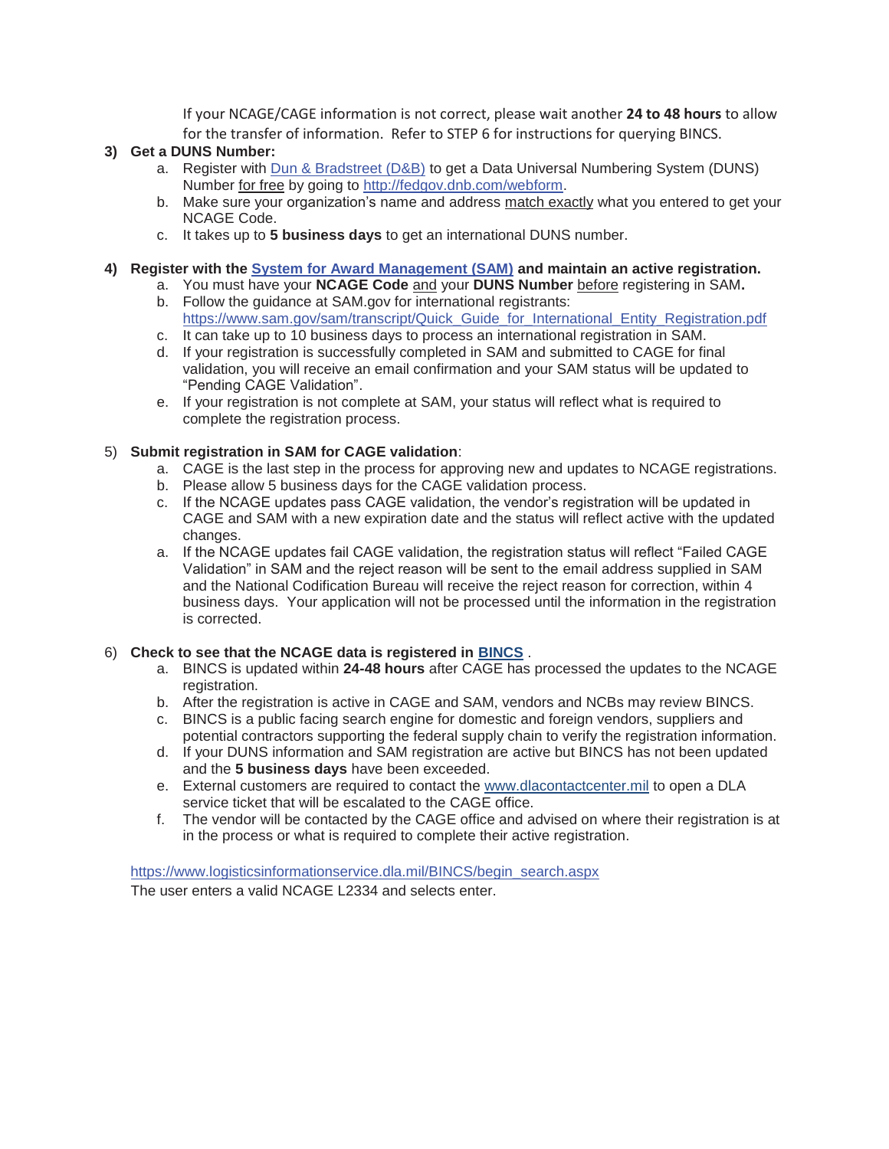If your NCAGE/CAGE information is not correct, please wait another **24 to 48 hours** to allow for the transfer of information. Refer to STEP 6 for instructions for querying BINCS.

# **3) Get a DUNS Number:**

- a. Register with Dun & Bradstreet (D&B) to get a Data Universal Numbering System (DUNS) Number for free by going to http://fedgov.dnb.com/webform.
- b. Make sure your organization's name and address match exactly what you entered to get your NCAGE Code.
- c. It takes up to **5 business days** to get an international DUNS number.

#### **4) Register with the System for Award Management (SAM) and maintain an active registration.**

- a. You must have your **NCAGE Code** and your **DUNS Number** before registering in SAM**.**
- b. Follow the guidance at SAM.gov for international registrants: https://www.sam.gov/sam/transcript/Quick\_Guide\_for\_International\_Entity\_Registration.pdf
- c. It can take up to 10 business days to process an international registration in SAM.
- d. If your registration is successfully completed in SAM and submitted to CAGE for final validation, you will receive an email confirmation and your SAM status will be updated to "Pending CAGE Validation".
- e. If your registration is not complete at SAM, your status will reflect what is required to complete the registration process.

## 5) **Submit registration in SAM for CAGE validation**:

- a. CAGE is the last step in the process for approving new and updates to NCAGE registrations.
- b. Please allow 5 business days for the CAGE validation process.
- c. If the NCAGE updates pass CAGE validation, the vendor's registration will be updated in CAGE and SAM with a new expiration date and the status will reflect active with the updated changes.
- a. If the NCAGE updates fail CAGE validation, the registration status will reflect "Failed CAGE Validation" in SAM and the reject reason will be sent to the email address supplied in SAM and the National Codification Bureau will receive the reject reason for correction, within 4 business days. Your application will not be processed until the information in the registration is corrected.

#### 6) **Check to see that the NCAGE data is registered in BINCS** .

- a. BINCS is updated within **24-48 hours** after CAGE has processed the updates to the NCAGE registration.
- b. After the registration is active in CAGE and SAM, vendors and NCBs may review BINCS.
- c. BINCS is a public facing search engine for domestic and foreign vendors, suppliers and potential contractors supporting the federal supply chain to verify the registration information.
- d. If your DUNS information and SAM registration are active but BINCS has not been updated and the **5 business days** have been exceeded.
- e. External customers are required to contact the www.dlacontactcenter.mil to open a DLA service ticket that will be escalated to the CAGE office.
- f. The vendor will be contacted by the CAGE office and advised on where their registration is at in the process or what is required to complete their active registration.

https://www.logisticsinformationservice.dla.mil/BINCS/begin\_search.aspx The user enters a valid NCAGE L2334 and selects enter.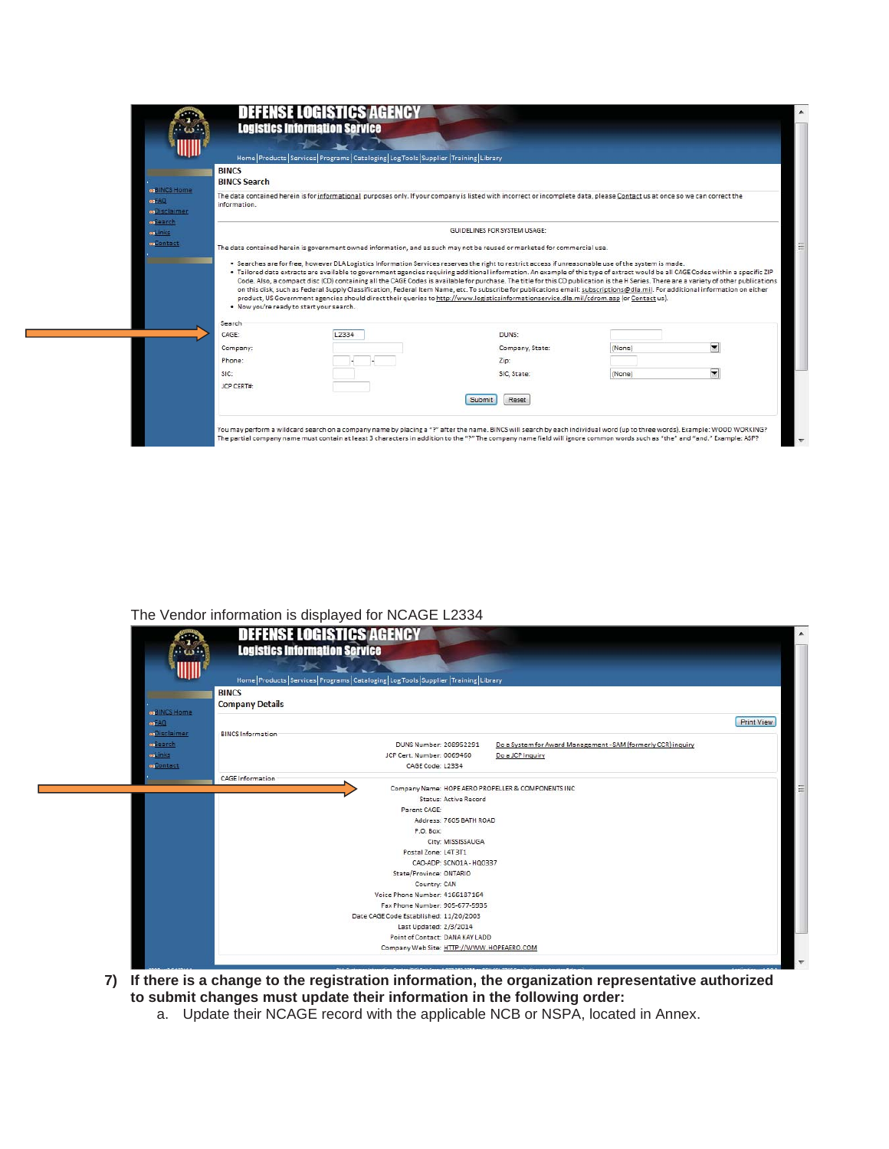|                    |                                      |                                          | Home   Products   Services   Programs   Cataloging   Log Tools   Supplier   Training   Library                                                                                                                                                                                                                                                                         |        |                          |
|--------------------|--------------------------------------|------------------------------------------|------------------------------------------------------------------------------------------------------------------------------------------------------------------------------------------------------------------------------------------------------------------------------------------------------------------------------------------------------------------------|--------|--------------------------|
|                    | <b>BINCS</b><br><b>BINCS Search</b>  |                                          |                                                                                                                                                                                                                                                                                                                                                                        |        |                          |
| es <sup>2</sup> AQ | <b>on</b> BINCS Home<br>information. |                                          | The data contained herein is for informational purposes only. If your company is listed with incorrect or incomplete data, please Contact us at once so we can correct the                                                                                                                                                                                             |        |                          |
| <b>osSearch</b>    | <b>m</b> Disclaimer                  |                                          |                                                                                                                                                                                                                                                                                                                                                                        |        |                          |
| onlinks.           |                                      |                                          | GUIDELINES FOR SYSTEM USAGE:                                                                                                                                                                                                                                                                                                                                           |        |                          |
|                    | <b>exContact</b>                     |                                          | The data contained herein is government owned information, and as such may not be reused or marketed for commercial use.                                                                                                                                                                                                                                               |        |                          |
|                    |                                      |                                          | . Searches are for free, however DLA Logistics Information Services reserves the right to restrict access if unreasonable use of the system is made.                                                                                                                                                                                                                   |        |                          |
|                    |                                      |                                          |                                                                                                                                                                                                                                                                                                                                                                        |        |                          |
|                    |                                      |                                          | . Tailored data extracts are available to government agencies requiring additional information. An example of this type of extract would be all CAGE Codes within a specific ZIP                                                                                                                                                                                       |        |                          |
|                    |                                      |                                          | Code. Also, a compact disc (CD) containing all the CAGE Codes is available for purchase. The title for this CD publication is the H Series. There are a variety of other publications<br>on this disk, such as Federal Supply Classification, Federal Item Name, etc. To subscribe for publications email: subscriptions@dla.mil. For additional information on either |        |                          |
|                    |                                      | . Now you're ready to start your search. | product, US Government agencies should direct their queries to http://www.logisticsinformationservice.dla.mil/cdrom.asp (or Contact us).                                                                                                                                                                                                                               |        |                          |
|                    | Search                               |                                          |                                                                                                                                                                                                                                                                                                                                                                        |        |                          |
|                    | CAGE:                                | L2334                                    | DUNS:                                                                                                                                                                                                                                                                                                                                                                  |        |                          |
|                    | Company:                             |                                          | Company, State:                                                                                                                                                                                                                                                                                                                                                        | (None) | $\overline{\phantom{a}}$ |
|                    | Phone:                               |                                          | Zip:                                                                                                                                                                                                                                                                                                                                                                   |        |                          |
|                    | SIC:                                 |                                          | SIC, State:                                                                                                                                                                                                                                                                                                                                                            | (None) | $\overline{\phantom{a}}$ |
|                    | JCP CERT#:                           |                                          |                                                                                                                                                                                                                                                                                                                                                                        |        |                          |

# The Vendor information is displayed for NCAGE L2334

|                     | <b>DEFENSE LOGISTICS AGENCY</b><br><b>SP</b><br><b>Logistics Information Service</b><br>ு க::<br>Home Products Services Programs Cataloging Log Tools Supplier Training Library |  |
|---------------------|---------------------------------------------------------------------------------------------------------------------------------------------------------------------------------|--|
|                     | <b>BINCS</b>                                                                                                                                                                    |  |
| <b>BINCS Home</b>   | <b>Company Details</b>                                                                                                                                                          |  |
| of AQ               | <b>Print View</b>                                                                                                                                                               |  |
| <b>o</b> Disclaimer | <b>BINCS Information</b>                                                                                                                                                        |  |
| <b>o</b> Search     | Do a System for Award Management - SAM (formerly CCR) inquiry<br>DUNS Number: 208952291                                                                                         |  |
| <b>osLinks</b>      | JCP Cert. Number: 0069460<br>Do a JCP Inquiry                                                                                                                                   |  |
| <b>onContact</b>    | CAGE Code: L2334                                                                                                                                                                |  |
|                     | <b>CAGE Information</b>                                                                                                                                                         |  |
|                     | Company Name: HOPE AERO PROPELLER & COMPONENTS INC                                                                                                                              |  |
|                     | <b>Status: Active Record</b>                                                                                                                                                    |  |
|                     | Parent CAGE:                                                                                                                                                                    |  |
|                     | Address: 7605 BATH ROAD                                                                                                                                                         |  |
|                     | P.O. Box:                                                                                                                                                                       |  |
|                     | City: MISSISSAUGA                                                                                                                                                               |  |
|                     | Postal Zone: L4T 3T1                                                                                                                                                            |  |
|                     | CAO-ADP: SCN01A-HQ0337                                                                                                                                                          |  |
|                     | State/Province: ONTARIO                                                                                                                                                         |  |
|                     | Country: CAN<br>Voice Phone Number: 4166187164                                                                                                                                  |  |
|                     | Fax Phone Number: 905-677-5935                                                                                                                                                  |  |
|                     | Date CAGE Code Established: 11/20/2003                                                                                                                                          |  |
|                     | Last Updated: 2/3/2014                                                                                                                                                          |  |
|                     | Point of Contact: DANA KAY LADD                                                                                                                                                 |  |
|                     |                                                                                                                                                                                 |  |

- **7) If there is a change to the registration information, the organization representative authorized to submit changes must update their information in the following order:** 
	- a. Update their NCAGE record with the applicable NCB or NSPA, located in Annex.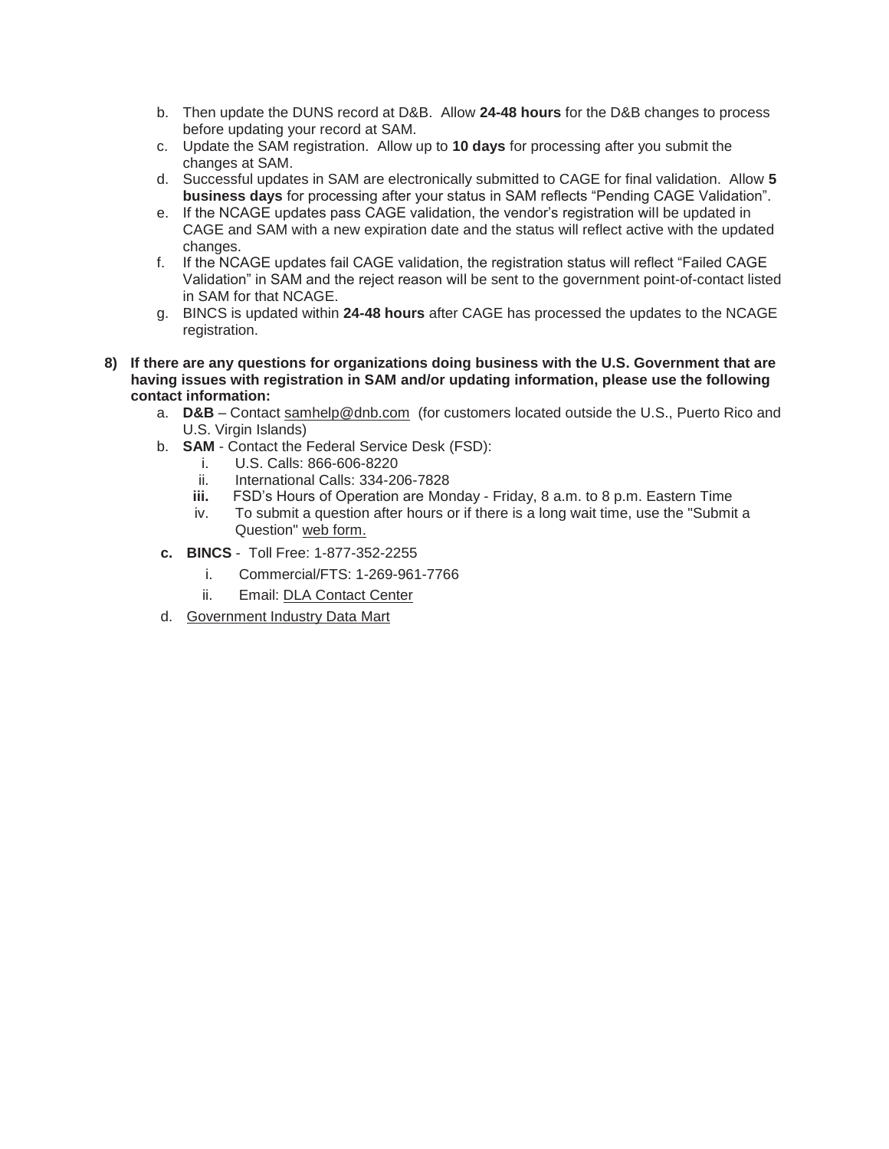- b. Then update the DUNS record at D&B. Allow **24-48 hours** for the D&B changes to process before updating your record at SAM.
- c. Update the SAM registration. Allow up to **10 days** for processing after you submit the changes at SAM.
- d. Successful updates in SAM are electronically submitted to CAGE for final validation. Allow **5 business days** for processing after your status in SAM reflects "Pending CAGE Validation".
- e. If the NCAGE updates pass CAGE validation, the vendor's registration will be updated in CAGE and SAM with a new expiration date and the status will reflect active with the updated changes.
- f. If the NCAGE updates fail CAGE validation, the registration status will reflect "Failed CAGE Validation" in SAM and the reject reason will be sent to the government point-of-contact listed in SAM for that NCAGE.
- g. BINCS is updated within **24-48 hours** after CAGE has processed the updates to the NCAGE registration.
- **8) If there are any questions for organizations doing business with the U.S. Government that are having issues with registration in SAM and/or updating information, please use the following contact information:** 
	- a. **D&B** Contact samhelp@dnb.com (for customers located outside the U.S., Puerto Rico and U.S. Virgin Islands)
	- b. **SAM**  Contact the Federal Service Desk (FSD):
		- i. U.S. Calls: 866-606-8220
		- ii. International Calls: 334-206-7828
		- **iii.** FSD's Hours of Operation are Monday Friday, 8 a.m. to 8 p.m. Eastern Time
		- iv. To submit a question after hours or if there is a long wait time, use the "Submit a Question" web form.
	- **c. BINCS** Toll Free: 1-877-352-2255
		- i. Commercial/FTS: 1-269-961-7766
		- ii. Email: DLA Contact Center
	- d. Government Industry Data Mart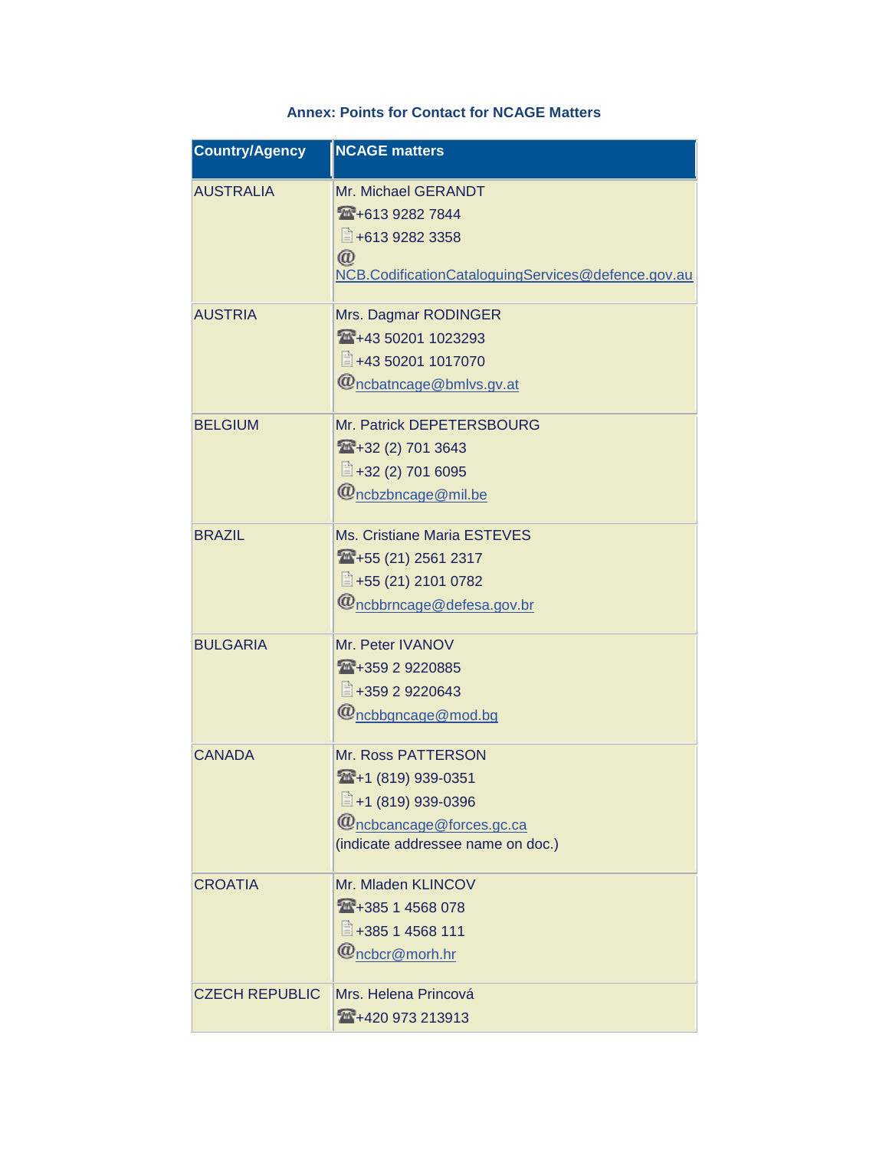| <b>Country/Agency</b> | <b>NCAGE</b> matters                                                                                                                       |
|-----------------------|--------------------------------------------------------------------------------------------------------------------------------------------|
| <b>AUSTRALIA</b>      | Mr. Michael GERANDT<br>1613 9282 7844<br>■+613 9282 3358<br>$^{\copyright}$<br>NCB.CodificationCataloguingServices@defence.gov.au          |
| <b>AUSTRIA</b>        | Mrs. Dagmar RODINGER<br>1023293<br>■+43 50201 1017070<br>@ncbatncage@bmlvs.gv.at                                                           |
| <b>BELGIUM</b>        | Mr. Patrick DEPETERSBOURG<br>1432 (2) 701 3643<br>$\Box$ +32 (2) 701 6095<br>@ncbzbncage@mil.be                                            |
| <b>BRAZIL</b>         | Ms. Cristiane Maria ESTEVES<br>14 +55 (21) 2561 2317<br>■+55 (21) 2101 0782<br>@ncbbrncage@defesa.gov.br                                   |
| <b>BULGARIA</b>       | Mr. Peter IVANOV<br>14+359 2 9220885<br>■+359 2 9220643<br>$\omega$ <sub>ncbbgncage</sub> @mod.bg                                          |
| <b>CANADA</b>         | Mr. Ross PATTERSON<br>14 + 1 (819) 939-0351<br>■+1 (819) 939-0396<br>$\omega$ ncbcancage@forces.gc.ca<br>(indicate addressee name on doc.) |
| <b>CROATIA</b>        | Mr. Mladen KLINCOV<br>14568078<br>■+385 1 4568 111<br>$@$ ncbcr $@$ morh.hr                                                                |
| <b>CZECH REPUBLIC</b> | Mrs. Helena Princová<br>1420 973 213913                                                                                                    |

# **Annex: Points for Contact for NCAGE Matters**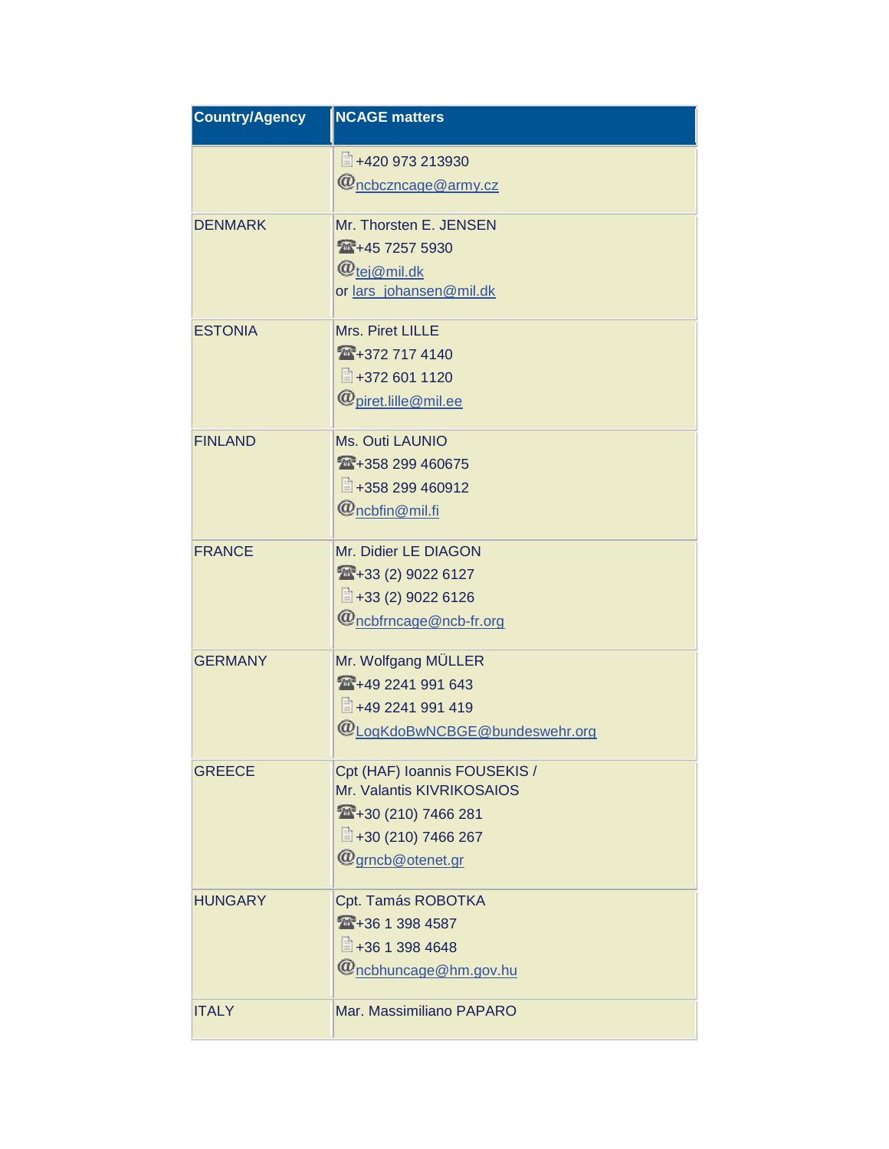| <b>Country/Agency</b> | <b>NCAGE matters</b>                                            |
|-----------------------|-----------------------------------------------------------------|
|                       | ■+420 973 213930                                                |
|                       | @ncbczncage@army.cz                                             |
| <b>DENMARK</b>        | Mr. Thorsten E. JENSEN                                          |
|                       | 145 7257 5930                                                   |
|                       | @ <sub>tej@mil.dk</sub>                                         |
|                       | or lars_johansen@mil.dk                                         |
| <b>ESTONIA</b>        | Mrs. Piret LILLE                                                |
|                       | 140 +372 717 4140                                               |
|                       | ■+372 601 1120                                                  |
|                       | $\bm{\varpi}$ piret.lille $\bm{\varpi}$ mil.ee                  |
| <b>FINLAND</b>        | Ms. Outi LAUNIO                                                 |
|                       | 14358 299 460675                                                |
|                       | ■+358 299 460912                                                |
|                       | @ncbfin@mil.fi                                                  |
| <b>FRANCE</b>         | Mr. Didier LE DIAGON                                            |
|                       | $1433(2)$ 9022 6127                                             |
|                       | ■+33 (2) 9022 6126                                              |
|                       | @ncbfrncage@ncb-fr.org                                          |
| <b>GERMANY</b>        | Mr. Wolfgang MÜLLER                                             |
|                       | 149 2241 991 643                                                |
|                       | ■+49 2241 991 419                                               |
|                       | @LogKdoBwNCBGE@bundeswehr.org                                   |
| <b>GREECE</b>         | Cpt (HAF) Ioannis FOUSEKIS /                                    |
|                       | Mr. Valantis KIVRIKOSAIOS                                       |
|                       | $430(210)$ 7466 281                                             |
|                       | ■+30 (210) 7466 267                                             |
|                       | $\bm{\bm{\varnothing}}$ grncb $\bm{\bm{\varnothing}}$ otenet.gr |
| <b>HUNGARY</b>        | Cpt. Tamás ROBOTKA                                              |
|                       | 144 + 36 1 398 4587                                             |
|                       | ■+36 1 398 4648                                                 |
|                       | $\omega$ ncbhuncage $\textcircled{e}$ hm.gov.hu                 |
| <b>ITALY</b>          | Mar. Massimiliano PAPARO                                        |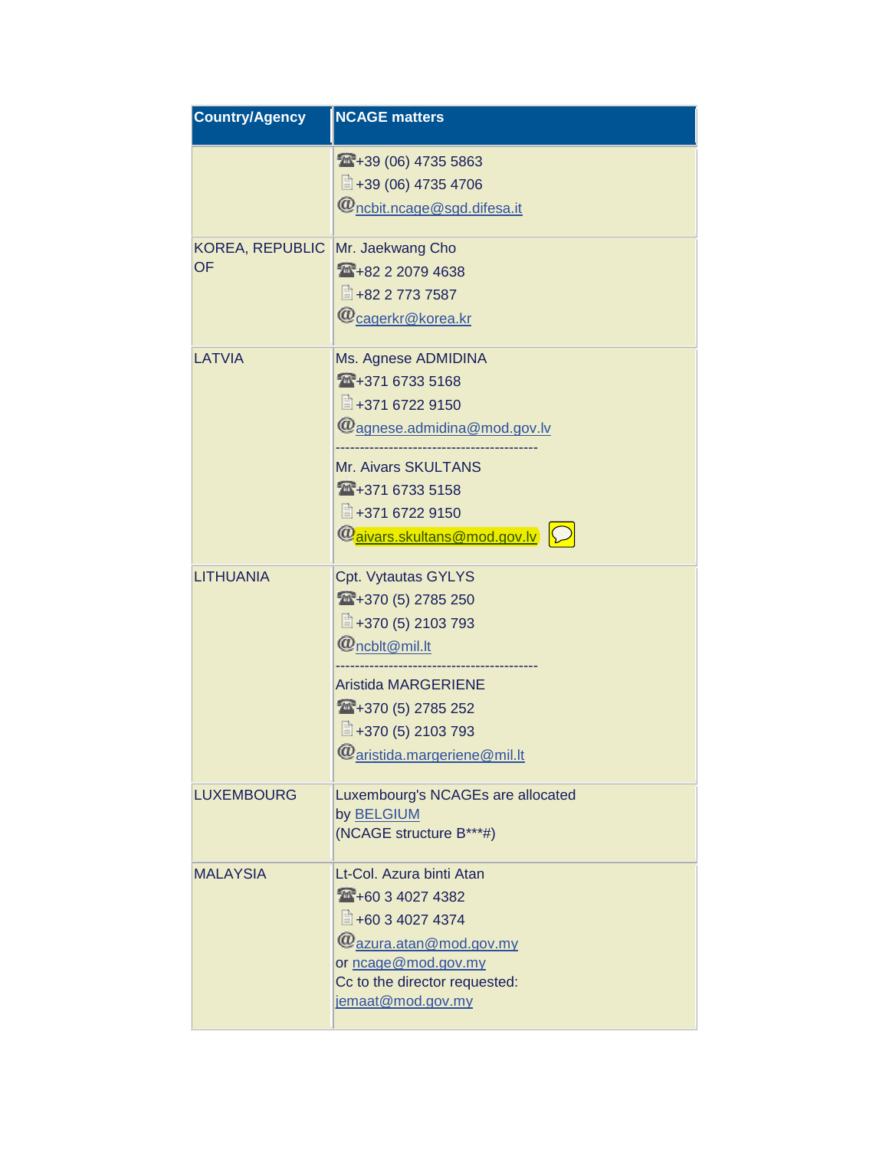| <b>Country/Agency</b>               | <b>NCAGE matters</b>                                                                                                                                                                                                      |
|-------------------------------------|---------------------------------------------------------------------------------------------------------------------------------------------------------------------------------------------------------------------------|
|                                     | $4439(06)$ 4735 5863<br>■+39 (06) 4735 4706<br>$\omega$ ncbit.ncage@sgd.difesa.it                                                                                                                                         |
| <b>KOREA, REPUBLIC</b><br><b>OF</b> | Mr. Jaekwang Cho<br>1482 2 2079 4638<br>■ +82 2 773 7587<br>@cagerkr@korea.kr                                                                                                                                             |
| LATVIA                              | Ms. Agnese ADMIDINA<br>14+371 6733 5168<br>■+371 6722 9150<br>@agnese.admidina@mod.gov.lv<br><b>Mr. Aivars SKULTANS</b><br>14+371 6733 5158<br>■+371 6722 9150<br>@aivars.skultans@mod.gov.lv                             |
| <b>LITHUANIA</b>                    | Cpt. Vytautas GYLYS<br>14+370 (5) 2785 250<br>■+370 (5) 2103 793<br>$\bm{w}_{\mathsf{n}$ cblt $\oslash$ mil.lt<br><b>Aristida MARGERIENE</b><br>14+370 (5) 2785 252<br>■+370 (5) 2103 793<br>@ aristida.margeriene@mil.lt |
| <b>LUXEMBOURG</b>                   | Luxembourg's NCAGEs are allocated<br>by <b>BELGIUM</b><br>(NCAGE structure B***#)                                                                                                                                         |
| MALAYSIA                            | Lt-Col. Azura binti Atan<br>160 3 4027 4382<br>■ +60 3 4027 4374<br>@azura.atan@mod.gov.my<br>or ncage@mod.gov.my<br>Cc to the director requested:<br>jemaat@mod.gov.my                                                   |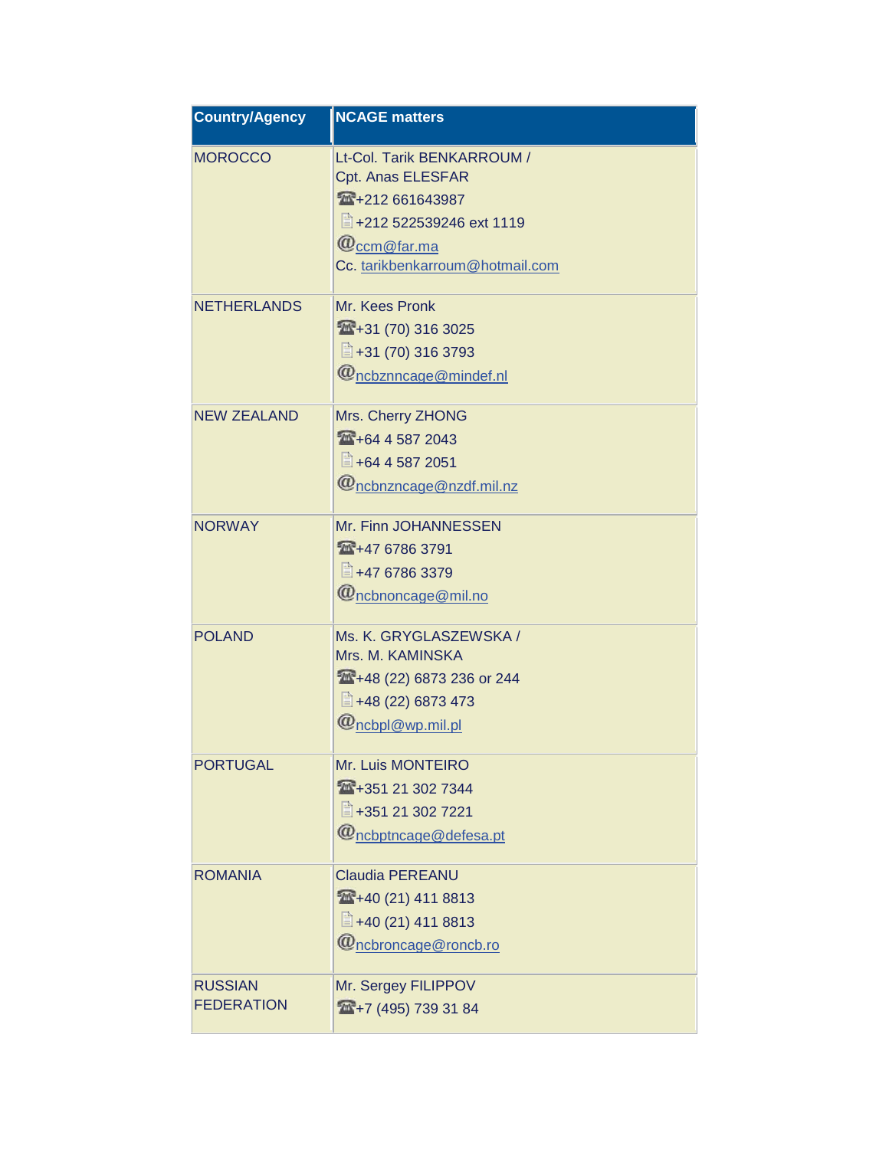| <b>Country/Agency</b>               | <b>NCAGE matters</b>                                                                                                                                    |
|-------------------------------------|---------------------------------------------------------------------------------------------------------------------------------------------------------|
| <b>MOROCCO</b>                      | Lt-Col. Tarik BENKARROUM /<br>Cpt. Anas ELESFAR<br>14+212 661643987<br>+212 522539246 ext 1119<br>$@$ ccm $@$ far.ma<br>Cc. tarikbenkarroum@hotmail.com |
| <b>NETHERLANDS</b>                  | Mr. Kees Pronk<br>1431(70)3163025<br>■+31 (70) 316 3793<br>@ncbznncage@mindef.nl                                                                        |
| <b>NEW ZEALAND</b>                  | Mrs. Cherry ZHONG<br>164 4 587 2043<br>■ +64 4 587 2051<br>@ncbnzncage@nzdf.mil.nz                                                                      |
| <b>NORWAY</b>                       | Mr. Finn JOHANNESSEN<br>147 6786 3791<br>■ +47 6786 3379<br>@ncbnoncage@mil.no                                                                          |
| <b>POLAND</b>                       | Ms. K. GRYGLASZEWSKA /<br>Mrs. M. KAMINSKA<br>448 (22) 6873 236 or 244<br>■ +48 (22) 6873 473<br>@ncbpl@wp.mil.pl                                       |
| <b>PORTUGAL</b>                     | Mr. Luis MONTEIRO<br>14+351 21 302 7344<br>■+351 21 302 7221<br>$\omega$ <sub>ncbptncage</sub> @defesa.pt                                               |
| <b>ROMANIA</b>                      | <b>Claudia PEREANU</b><br>440 (21) 411 8813<br>■ +40 (21) 411 8813<br>@ncbroncage@roncb.ro                                                              |
| <b>RUSSIAN</b><br><b>FEDERATION</b> | Mr. Sergey FILIPPOV<br>$\frac{1}{2}$ +7 (495) 739 31 84                                                                                                 |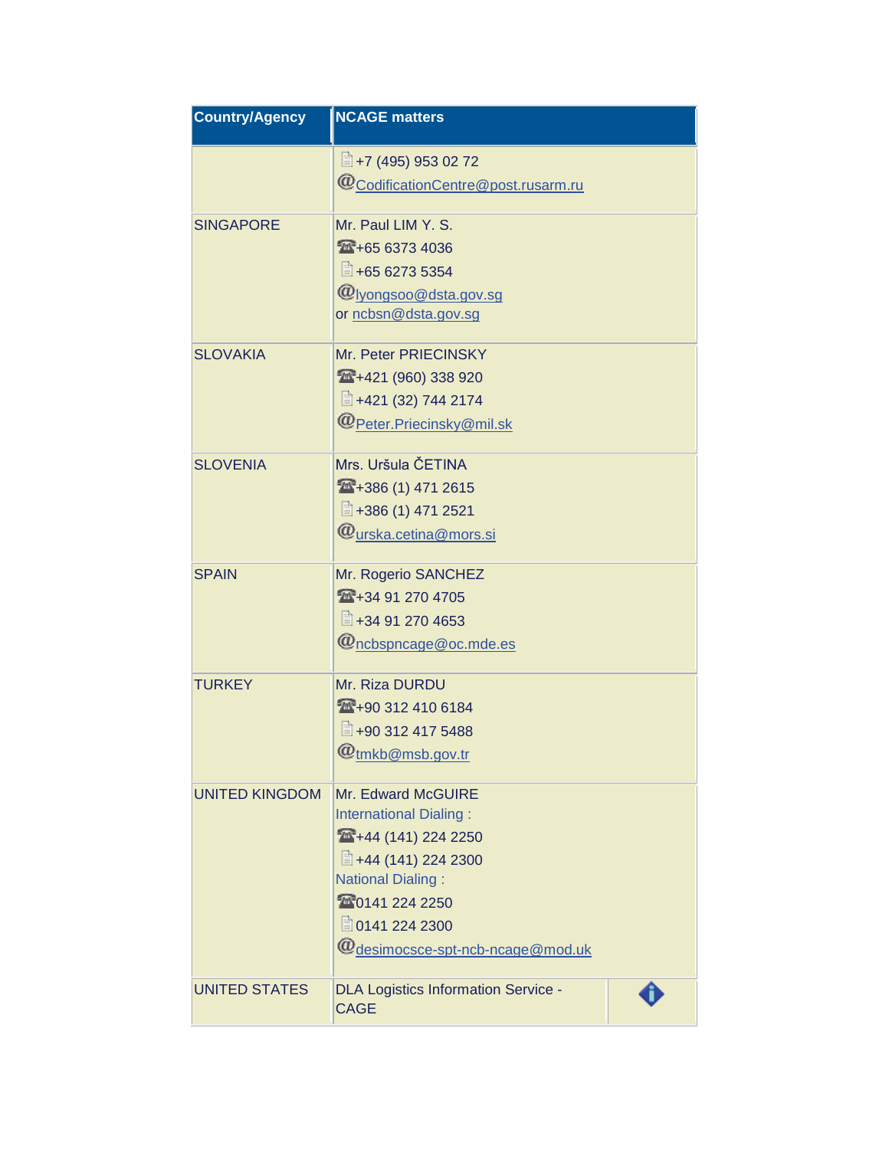| <b>Country/Agency</b> | <b>NCAGE matters</b>                                      |  |
|-----------------------|-----------------------------------------------------------|--|
|                       | $\equiv$ +7 (495) 953 02 72                               |  |
|                       | @CodificationCentre@post.rusarm.ru                        |  |
| <b>SINGAPORE</b>      | Mr. Paul LIM Y. S.                                        |  |
|                       | 165 6373 4036                                             |  |
|                       | ■ +65 6273 5354                                           |  |
|                       | @lyongsoo@dsta.gov.sg<br>or ncbsn@dsta.gov.sg             |  |
|                       |                                                           |  |
| <b>SLOVAKIA</b>       | Mr. Peter PRIECINSKY                                      |  |
|                       | 4421(960)338920                                           |  |
|                       | ■ +421 (32) 744 2174                                      |  |
|                       | @Peter.Priecinsky@mil.sk                                  |  |
| <b>SLOVENIA</b>       | Mrs. Uršula ČETINA                                        |  |
|                       | 1471 2615                                                 |  |
|                       | ■+386 (1) 471 2521                                        |  |
|                       | @urska.cetina@mors.si                                     |  |
| <b>SPAIN</b>          | Mr. Rogerio SANCHEZ                                       |  |
|                       | 14 + 34 91 270 4705                                       |  |
|                       | ■+34 91 270 4653                                          |  |
|                       | @ncbspncage@oc.mde.es                                     |  |
| <b>TURKEY</b>         | Mr. Riza DURDU                                            |  |
|                       | 1410 6184                                                 |  |
|                       | ■+90 312 417 5488                                         |  |
|                       | @ <sub>tmkb@msb.gov.tr</sub>                              |  |
| <b>UNITED KINGDOM</b> | Mr. Edward McGUIRE                                        |  |
|                       | <b>International Dialing:</b>                             |  |
|                       | 144 (141) 224 2250                                        |  |
|                       | ■ +44 (141) 224 2300<br><b>National Dialing:</b>          |  |
|                       | 20141 224 2250                                            |  |
|                       | ■ 0141 224 2300                                           |  |
|                       | $\bm{\varpi}$ desimocsce-spt-ncb-ncage@mod.uk             |  |
| <b>UNITED STATES</b>  | <b>DLA Logistics Information Service -</b><br><b>CAGE</b> |  |